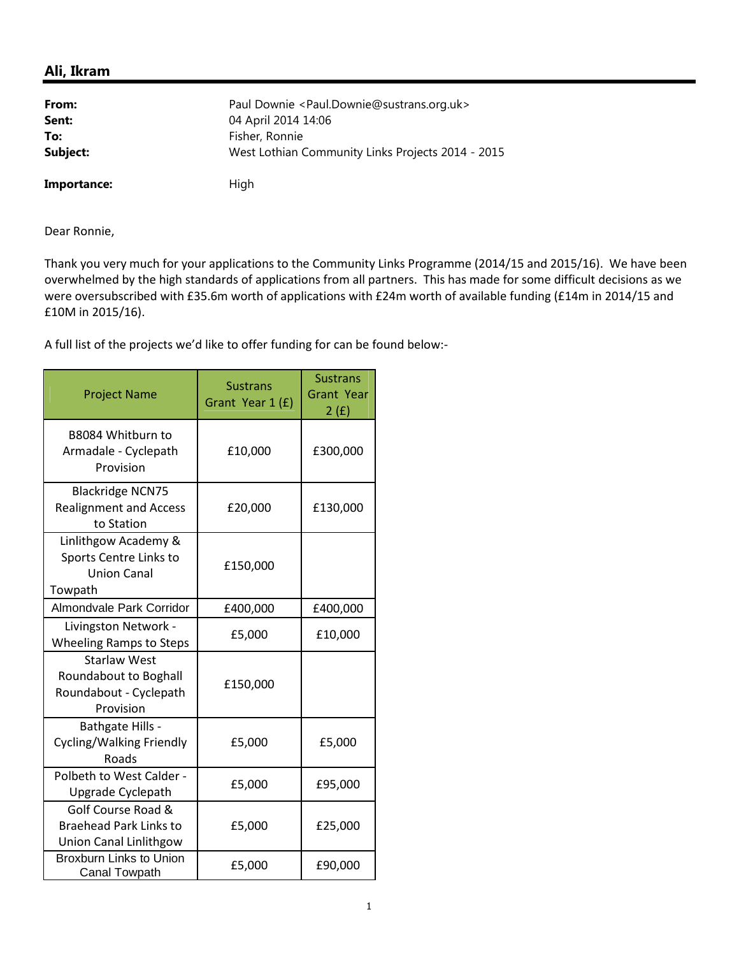## **Ali, Ikram**

| From:       | Paul Downie <paul.downie@sustrans.org.uk><br/>04 April 2014 14:06</paul.downie@sustrans.org.uk> |  |
|-------------|-------------------------------------------------------------------------------------------------|--|
| Sent:       |                                                                                                 |  |
| To:         | Fisher, Ronnie                                                                                  |  |
| Subject:    | West Lothian Community Links Projects 2014 - 2015                                               |  |
| Importance: | High                                                                                            |  |

Dear Ronnie,

Thank you very much for your applications to the Community Links Programme (2014/15 and 2015/16). We have been overwhelmed by the high standards of applications from all partners. This has made for some difficult decisions as we were oversubscribed with £35.6m worth of applications with £24m worth of available funding (£14m in 2014/15 and £10M in 2015/16).

A full list of the projects we'd like to offer funding for can be found below:-

| <b>Project Name</b>                                                                 | <b>Sustrans</b><br>Grant Year 1 (£) | <b>Sustrans</b><br><b>Grant Year</b><br>2(f) |
|-------------------------------------------------------------------------------------|-------------------------------------|----------------------------------------------|
| B8084 Whitburn to<br>Armadale - Cyclepath<br>Provision                              | £10,000                             | £300,000                                     |
| <b>Blackridge NCN75</b><br><b>Realignment and Access</b><br>to Station              | £20,000                             | £130,000                                     |
| Linlithgow Academy &<br>Sports Centre Links to<br>Union Canal<br>Towpath            | £150,000                            |                                              |
| Almondvale Park Corridor                                                            | £400,000                            | £400,000                                     |
| Livingston Network -<br><b>Wheeling Ramps to Steps</b>                              | £5,000                              | £10,000                                      |
| <b>Starlaw West</b><br>Roundabout to Boghall<br>Roundabout - Cyclepath<br>Provision | £150,000                            |                                              |
| Bathgate Hills -<br>Cycling/Walking Friendly<br>Roads                               | £5,000                              | £5,000                                       |
| Polbeth to West Calder -<br>Upgrade Cyclepath                                       | £5,000                              | £95,000                                      |
| Golf Course Road &<br><b>Braehead Park Links to</b><br>Union Canal Linlithgow       | £5,000                              | £25,000                                      |
| <b>Broxburn Links to Union</b><br><b>Canal Towpath</b>                              | £5,000                              | £90,000                                      |